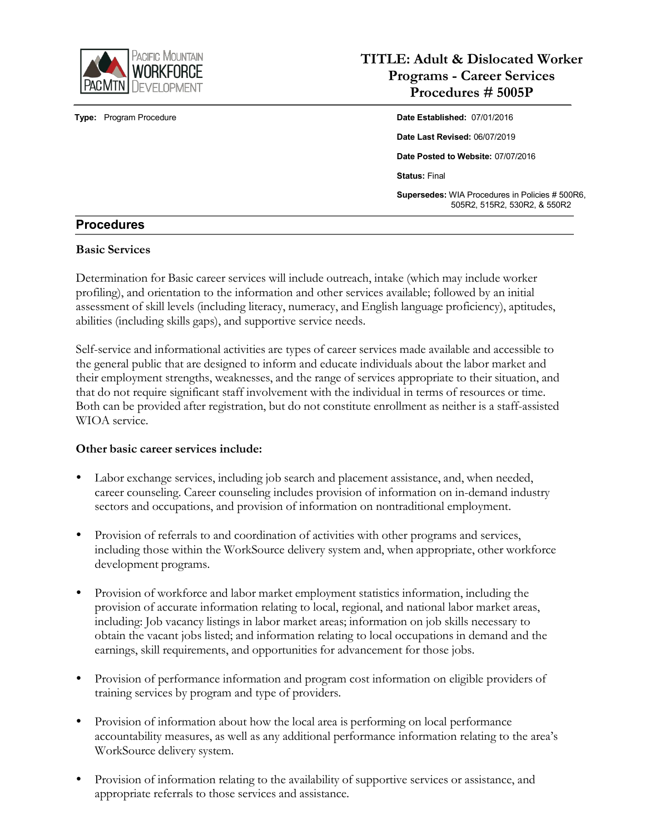

# **TITLE: Adult & Dislocated Worker Programs - Career Services Procedures # 5005P**

**Type:** Program Procedure **Date Established:** 07/01/2016 **Date Last Revised:** 06/07/2019 **Date Posted to Website:** 07/07/2016 **Status:** Final **Supersedes:** WIA Procedures in Policies # 500R6, 505R2, 515R2, 530R2, & 550R2

# **Procedures**

#### **Basic Services**

Determination for Basic career services will include outreach, intake (which may include worker profiling), and orientation to the information and other services available; followed by an initial assessment of skill levels (including literacy, numeracy, and English language proficiency), aptitudes, abilities (including skills gaps), and supportive service needs.

Self-service and informational activities are types of career services made available and accessible to the general public that are designed to inform and educate individuals about the labor market and their employment strengths, weaknesses, and the range of services appropriate to their situation, and that do not require significant staff involvement with the individual in terms of resources or time. Both can be provided after registration, but do not constitute enrollment as neither is a staff-assisted WIOA service.

#### **Other basic career services include:**

- Labor exchange services, including job search and placement assistance, and, when needed, career counseling. Career counseling includes provision of information on in-demand industry sectors and occupations, and provision of information on nontraditional employment.
- Provision of referrals to and coordination of activities with other programs and services, including those within the WorkSource delivery system and, when appropriate, other workforce development programs.
- Provision of workforce and labor market employment statistics information, including the provision of accurate information relating to local, regional, and national labor market areas, including: Job vacancy listings in labor market areas; information on job skills necessary to obtain the vacant jobs listed; and information relating to local occupations in demand and the earnings, skill requirements, and opportunities for advancement for those jobs.
- Provision of performance information and program cost information on eligible providers of training services by program and type of providers.
- Provision of information about how the local area is performing on local performance accountability measures, as well as any additional performance information relating to the area's WorkSource delivery system.
- Provision of information relating to the availability of supportive services or assistance, and appropriate referrals to those services and assistance.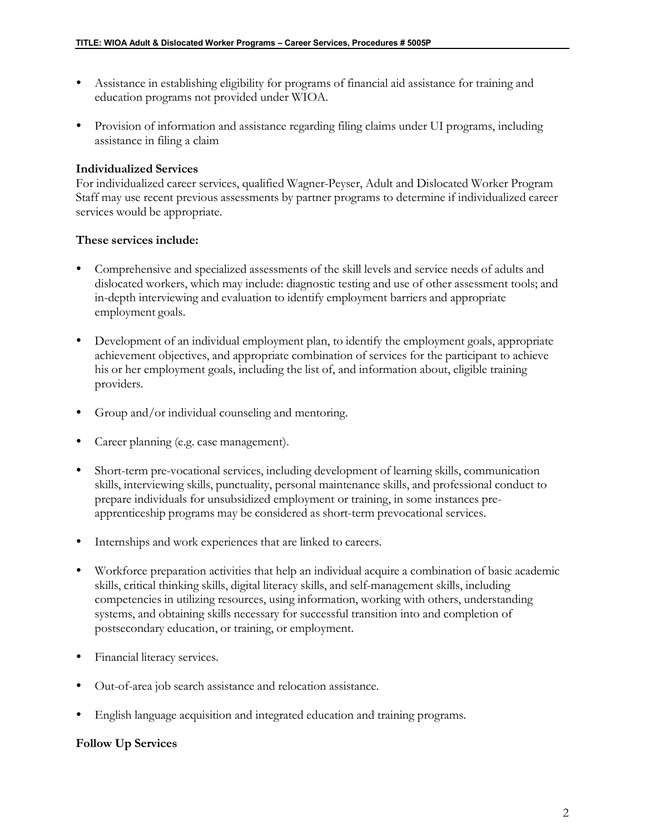- Assistance in establishing eligibility for programs of financial aid assistance for training and education programs not provided under WIOA.
- Provision of information and assistance regarding filing claims under UI programs, including assistance in filing a claim

#### **Individualized Services**

For individualized career services, qualified Wagner-Peyser, Adult and Dislocated Worker Program Staff may use recent previous assessments by partner programs to determine if individualized career services would be appropriate.

#### **These services include:**

- Comprehensive and specialized assessments of the skill levels and service needs of adults and dislocated workers, which may include: diagnostic testing and use of other assessment tools; and in-depth interviewing and evaluation to identify employment barriers and appropriate employment goals.
- Development of an individual employment plan, to identify the employment goals, appropriate achievement objectives, and appropriate combination of services for the participant to achieve his or her employment goals, including the list of, and information about, eligible training providers.
- Group and/or individual counseling and mentoring.
- Career planning (e.g. case management).
- Short-term pre-vocational services, including development of learning skills, communication skills, interviewing skills, punctuality, personal maintenance skills, and professional conduct to prepare individuals for unsubsidized employment or training, in some instances preapprenticeship programs may be considered as short-term prevocational services.
- Internships and work experiences that are linked to careers.
- Workforce preparation activities that help an individual acquire a combination of basic academic skills, critical thinking skills, digital literacy skills, and self-management skills, including competencies in utilizing resources, using information, working with others, understanding systems, and obtaining skills necessary for successful transition into and completion of postsecondary education, or training, or employment.
- Financial literacy services.
- Out-of-area job search assistance and relocation assistance.
- English language acquisition and integrated education and training programs.

# **Follow Up Services**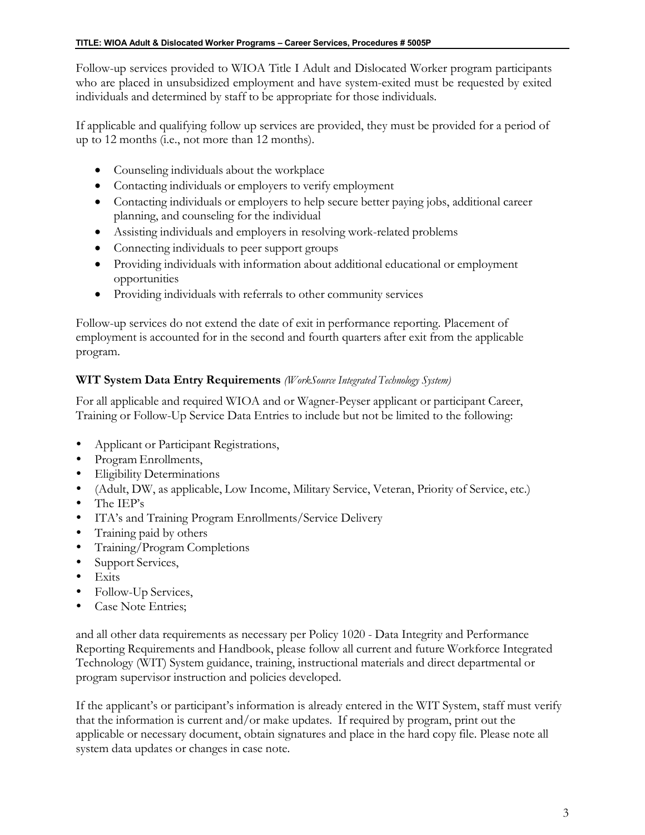Follow-up services provided to WIOA Title I Adult and Dislocated Worker program participants who are placed in unsubsidized employment and have system-exited must be requested by exited individuals and determined by staff to be appropriate for those individuals.

If applicable and qualifying follow up services are provided, they must be provided for a period of up to 12 months (i.e., not more than 12 months).

- Counseling individuals about the workplace
- Contacting individuals or employers to verify employment
- Contacting individuals or employers to help secure better paying jobs, additional career planning, and counseling for the individual
- Assisting individuals and employers in resolving work-related problems
- Connecting individuals to peer support groups
- Providing individuals with information about additional educational or employment opportunities
- Providing individuals with referrals to other community services

Follow-up services do not extend the date of exit in performance reporting. Placement of employment is accounted for in the second and fourth quarters after exit from the applicable program.

# **WIT System Data Entry Requirements** *(WorkSource Integrated Technology System)*

For all applicable and required WIOA and or Wagner-Peyser applicant or participant Career, Training or Follow-Up Service Data Entries to include but not be limited to the following:

- Applicant or Participant Registrations,
- Program Enrollments,
- Eligibility Determinations
- (Adult, DW, as applicable, Low Income, Military Service, Veteran, Priority of Service, etc.)
- The IEP's
- ITA's and Training Program Enrollments/Service Delivery
- Training paid by others
- Training/Program Completions
- Support Services,
- $\bullet$  Exits
- Follow-Up Services,
- Case Note Entries;

and all other data requirements as necessary per Policy 1020 - Data Integrity and Performance Reporting Requirements and Handbook, please follow all current and future Workforce Integrated Technology (WIT) System guidance, training, instructional materials and direct departmental or program supervisor instruction and policies developed.

If the applicant's or participant's information is already entered in the WIT System, staff must verify that the information is current and/or make updates. If required by program, print out the applicable or necessary document, obtain signatures and place in the hard copy file. Please note all system data updates or changes in case note.